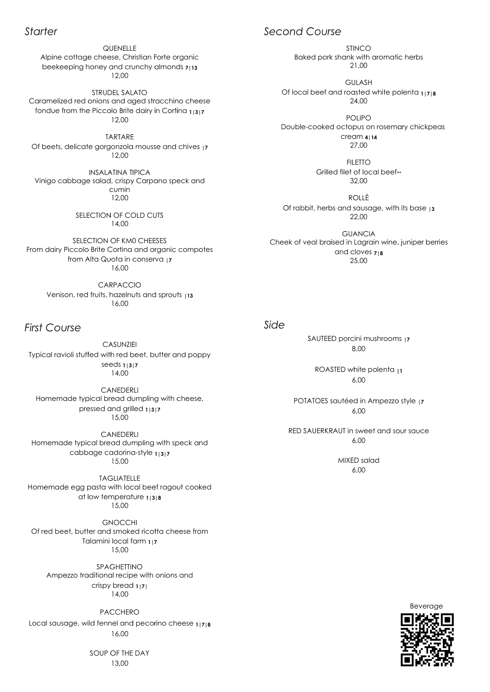## *Starter*

From d airy from Alta SELECTION OF KM0 CHEESES Quota i uota in conserva n **|7** 16,00 rispy Carpano speck and<br>min<br>,00<br>F COLD CUTS<br>,00<br>KM0 CHEESES<br>tina and organic compotes<br>a in conserva<br>|7<br>,00<br>ACCIO<br>zelnuts and sprouts |1**3**<br>,00<br>,00

*First Course*

Venison, red fruits, hazelnuts and sprouts CARPACCIO CARPACCIO<br>its, hazelnuts<br>16,00 Venison, red fruits, hazelnuts and sprouts <sub>1</sub>13

Homemade typical bread dumpling with speck and cabbage cadorina cabbage 15,00 cadorina-style **1|3|7** CANEDERLI

Homemade egg pasta with local beef ragout cooked<br>at low temperature 11318 Typical ravioli stuffed v<br>
s<br>
(<br>
Homemade typical b<br>
cabbage<br>
Different passed at low t<br>
Of red beet, butter are at low temperature **1|3|8** TAGLIATELLE 15,00 stian Forte organic<br>
nchy almonds 7|13<br>
NTO<br>
ed stracchino chee<br>
dairy in Cortina 1|3|<br>
mousse and chives<br>
<sup>PICA</sup><br>
Carpano speck an<br>
LD CUTS<br>
CHEESES<br>
and organic comproaserva |7<br>
O<br>
15 and sprouts |13<br>
1<br>
ed 1|3|7<br>
1<br>
1 m

**GNOCCHI** 

Alpine cottage cheese, Christian Forte organic beekeeping honey and crunchy almonds  $713$ **QUENELLE** 12,00

Vinigo cabbage salad, crispy Carpano speck and Caramelized red onions and aged stracchino cheese<br>fondue from the Piccolo Brite dairy in Cortina 11317<br>12,00<br>TARTARE<br>Of beets, delicate gorgonzola mousse and chives 17<br>12,00<br>INSALATINA TIPICA<br>Vinigo cabbage salad, crispy C INSALATINA TIPICA cumin 12,00

Of beets, delicate gorgonzola mousse and chives and chives 12,00 Of chives **|7** TARTARE TARTARE

Typical ravioli stuffed with red beet CASUNZIEI CASUNZIEI seeds seeds **1|3|7** 14,00

Homemade typical bread dumpling with cheese, pressed and grilled **1|3|7** CANEDERLI 15,00

Of red beet, butter and smoked ricotta cheese from Talamini local farm **1|7** 15,00

## Local sausage, wild fennel and pecorino cheese **1|7|8** PACCHERO 16,00

Ampezzo traditional recipe with onions and SPAGHETTINO crispy bread onal reci<br>spy brea<br>14,00 **1|7|**

Caramelized red onions and aged stracchino cheese fondue from the Piccolo Brite dairy in Cortina beekeeping honey and crunchy almond<br>
12,00<br>
STRUDEL SALATO<br>
amelized red onions and aged stracchin<br>
ndue from the Piccolo Brite dairy in Corti<br>
12,00<br>
TARTARE<br>
beets, delicate gorgonzola mousse and<br>
12,00<br>
INSALATINA TIPIC STRUDEL SALATO ، nions and<br>Piccolo Brit<br>12,00 **1|3|7**

14,00

SOUP OF THE DAY 13,00

Double-cooked octopus on rosemary chickpeas l beef and<br>cooked oc<br>Grilled fil IMCO<br>
Baked pork shank with<br>
21,00<br>
GULASH<br>
ocal beef and roasted<br>
24,00<br>
POLIPO<br>
IDE-cooked octopus o<br>
cream 4|<br>
27,00<br>
FILETTO<br>
Grilled filet of loc<br>
32,00<br>
ROLLÈ<br>
rabbit, herbs and sausc<br>
22,00<br>
GUANCI.<br>
of veal braised POLIPO cream **4|14** 27,00

**FILETTO** rilled filet of local beef\*\* 32,00

6,00 ROASTED white polenta <sub>11</sub>

### *Side*

# *Second C Course*

Of local beef and roasted white polenta **1|7|8** GULASH 24,00

Baked pork shank with aromatic herbs 21,00

Of rabbit, herbs and sausage, with its base **|3** ROLLÈ 22,00

Cheek of veal braised in Lagrain wine, juniper berries f veal braised in Lagrain wi $\,$  and cloves  $\rm z_{18}$ <br>25,00<br>SAUTEED porcini mushro<br>8,00<br>ROASTED white polen GUANCIA and cloves **7|8** 25,00 grain wine, jur<br><sup>7</sup>es 7<sub>1</sub>8<br>0<br>mushrooms <sub>1</sub>7

SAUTEED porcini mushroom 8,00

POTATOES sautéed in Ampezzo style **|7** 6,00

RED SAUERKRAUT in sweet and sour sauce 6,00

> MIXED salad 6,00